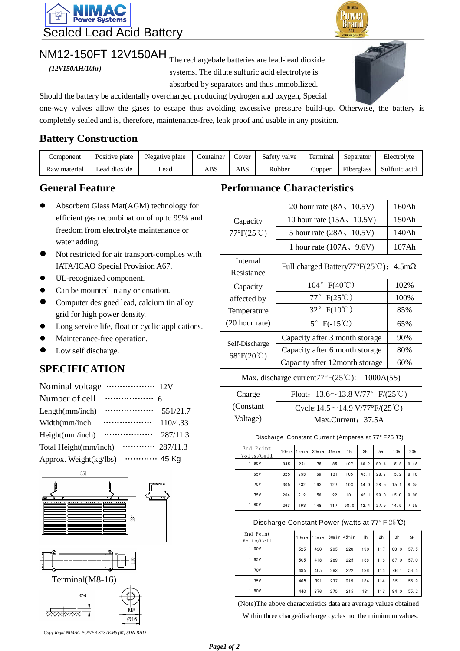

# $NM12-150FT 12V150AH$ <sub>The rechargebale batteries are lead-lead dioxide</sub>

*(12V150AH/10hr)*

systems. The dilute sulfuric acid electrolyte is absorbed by separators and thus immobilized.



**MALAYSI Powe** 

Should the battery be accidentally overcharged producing bydrogen and oxygen, Special

one-way valves allow the gases to escape thus avoiding excessive pressure build-up. Otherwise, the battery is completely sealed and is, therefore, maintenance-free, leak proof and usable in any position.

#### **Battery Construction**

| Component    | Positive plate | Negative plate | Container | Cover | Safety valve | Terminal | Separator | Electrolyte              |
|--------------|----------------|----------------|-----------|-------|--------------|----------|-----------|--------------------------|
| Raw material | Lead dioxide   | ∟ead           | ABS       | ABS   | Rubber       | Copper   |           | Fiberglass Sulfuric acid |

- Absorbent Glass Mat(AGM) technology for efficient gas recombination of up to 99% and freedom from electrolyte maintenance or water adding.
- Not restricted for air transport-complies with IATA/ICAO Special Provision A67.
- UL-recognized component.
- Can be mounted in any orientation.
- Computer designed lead, calcium tin alloy grid for high power density.
- Long service life, float or cyclic applications.
- Maintenance-free operation.
- Low self discharge.

### **SPECIFICATION**

| Nominal voltage        |                   |          |
|------------------------|-------------------|----------|
| Number of cell         |                   |          |
| Length(mm/inch)        |                   | 551/21.7 |
| Width(mm/inch          |                   | 110/4.33 |
| Height(mm/inch)        |                   | 287/11.3 |
| Total Height(mm/inch)  | $\cdots$ 287/11.3 |          |
| Approx. Weight(kg/lbs) | 45 Kg             |          |





#### **General Feature Performance Characteristics**

|                                                                  | 20 hour rate $(8A, 10.5V)$                      | 160Ah |  |  |  |  |  |  |
|------------------------------------------------------------------|-------------------------------------------------|-------|--|--|--|--|--|--|
| Capacity                                                         | 10 hour rate $(15A, 10.5V)$                     | 150Ah |  |  |  |  |  |  |
| $77^{\circ}F(25^{\circ}C)$                                       | 5 hour rate $(28A, 10.5V)$                      | 140Ah |  |  |  |  |  |  |
|                                                                  | 1 hour rate $(107A, 9.6V)$                      | 107Ah |  |  |  |  |  |  |
| <b>Internal</b><br>Resistance                                    | Full charged Battery77°F(25℃):<br>$4.5m\Omega$  |       |  |  |  |  |  |  |
| Capacity                                                         | $104^{\circ}$ F(40°C)                           | 102%  |  |  |  |  |  |  |
| affected by                                                      | $77^\circ$ F(25°C)                              | 100%  |  |  |  |  |  |  |
| Temperature                                                      | 32° $F(10^{\circ}\text{C})$                     | 85%   |  |  |  |  |  |  |
| (20 hour rate)                                                   | $5^{\circ}$ F(-15°C)                            | 65%   |  |  |  |  |  |  |
| Self-Discharge                                                   | Capacity after 3 month storage                  | 90%   |  |  |  |  |  |  |
| $68^{\circ}F(20^{\circ}C)$                                       | Capacity after 6 month storage                  | 80%   |  |  |  |  |  |  |
|                                                                  | Capacity after 12 month storage                 | 60%   |  |  |  |  |  |  |
| Max. discharge current77 $\mathrm{F}(25\mathrm{°C})$ : 1000A(5S) |                                                 |       |  |  |  |  |  |  |
| Charge                                                           | Float: $13.6 \sim 13.8 \text{ V}/77$ ° F/(25°C) |       |  |  |  |  |  |  |
| (Constant                                                        | Cycle:14.5 ~ 14.9 V/77°F/(25°C)                 |       |  |  |  |  |  |  |
| Voltage)                                                         | Max.Current: 37.5A                              |       |  |  |  |  |  |  |

Discharge Constant Current (Amperes at 77° F25 ℃)

| End Point  |       |       |       |        |      |      |      |      |      |
|------------|-------|-------|-------|--------|------|------|------|------|------|
| Volts/Cell | 10min | 15min | 30min | 45m in | 1h   | 3h   | 5h   | 10h  | 20h  |
| 1.60V      |       |       |       |        |      |      |      |      |      |
|            | 345   | 271   | 175   | 135    | 107  | 46.2 | 29.4 | 15.3 | 8.15 |
| 1.65V      | 325   | 253   | 169   | 131    | 105  | 45.1 | 28.9 | 15.2 | 8.10 |
| 1.70V      | 305   | 232   | 163   | 127    | 103  | 44.0 | 28.5 | 15.1 | 8.05 |
| 1.75V      | 284   | 212   | 156   | 122    | 101  | 43.1 | 28.0 | 15.0 | 8.00 |
| 1.80V      | 263   | 193   | 148   | 117    | 98.0 | 42.4 | 27.5 | 14.9 | 7.95 |

Discharge Constant Power (watts at 77° F 25℃)

| End Point<br>Volts/Cell | 10min | $15$ min |     | $30$ min $45$ min | 1h  | 2h  | 3h   | 5h   |
|-------------------------|-------|----------|-----|-------------------|-----|-----|------|------|
| 1.60V                   | 525   | 430      | 295 | 228               | 190 | 117 | 88.0 | 57.5 |
| 1.65V                   | 505   | 418      | 289 | 225               | 188 | 116 | 87.0 | 57.0 |
| 1.70V                   | 485   | 405      | 283 | 222               | 186 | 115 | 86.1 | 56.5 |
| 1.75V                   | 465   | 391      | 277 | 219               | 184 | 114 | 85.1 | 55.9 |
| 1.80V                   | 440   | 376      | 270 | 215               | 181 | 113 | 84.0 | 55.2 |

(Note)The above characteristics data are average values obtained Within three charge/discharge cycles not the mimimum values.

*Copy Right NIMAC POWER SYSTEMS (M) SDN BHD*